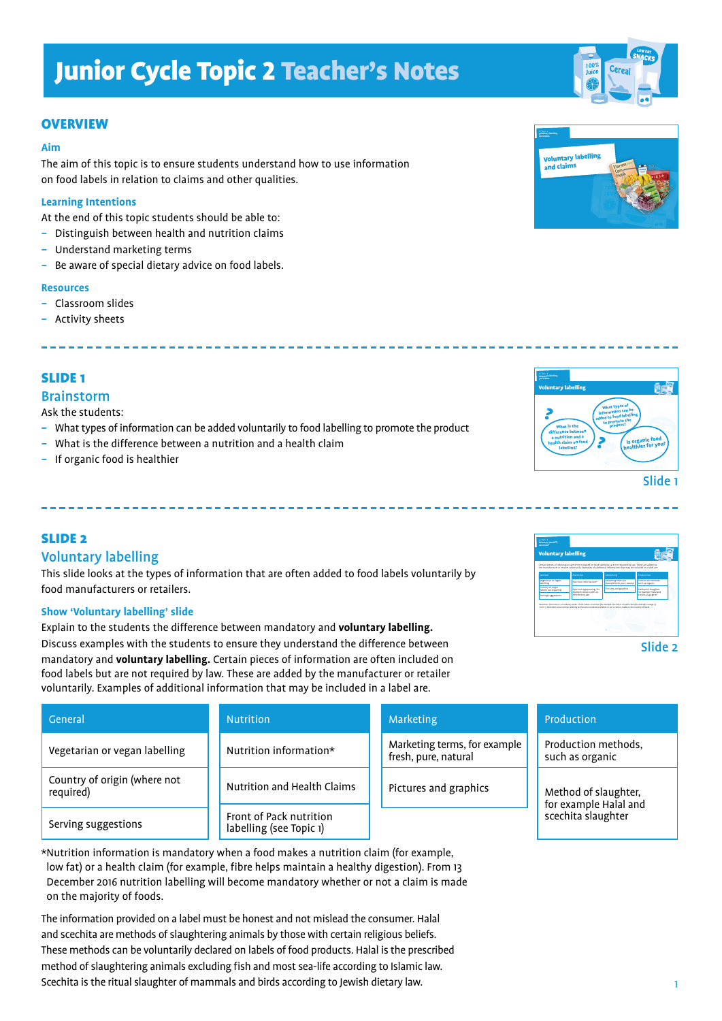## **OVERVIEW**

#### **Aim**

The aim of this topic is to ensure students understand how to use information on food labels in relation to claims and other qualities.

#### **Learning Intentions**

At the end of this topic students should be able to:

- *–* Distinguish between health and nutrition claims
- *–* Understand marketing terms
- *–* Be aware of special dietary advice on food labels.

#### **Resources**

- *–* Classroom slides
- *–* Activity sheets

## SLIDE 1

#### Brainstorm

Ask the students:

- *–* What types of information can be added voluntarily to food labelling to promote the product
- *–* What is the difference between a nutrition and a health claim
- *–* If organic food is healthier

## SLIDE 2

Cou

### Voluntary labelling

This slide looks at the types of information that are often added to food labels voluntarily by food manufacturers or retailers.

#### **Show 'Voluntary labelling' slide**

Explain to the students the difference between mandatory and **voluntary labelling.** Discuss examples with the students to ensure they understand the difference between mandatory and **voluntary labelling.** Certain pieces of information are often included on food labels but are not required by law. These are added by the manufacturer or retailer voluntarily. Examples of additional information that may be included in a label are.

| General                                   | <b>Nutrition</b>                                   | Marketing                                            | Production                                                          |
|-------------------------------------------|----------------------------------------------------|------------------------------------------------------|---------------------------------------------------------------------|
| Vegetarian or vegan labelling             | Nutrition information*                             | Marketing terms, for example<br>fresh, pure, natural | Production methods,<br>such as organic                              |
| Country of origin (where not<br>required) | Nutrition and Health Claims                        | Pictures and graphics                                | Method of slaughter,<br>for example Halal and<br>scechita slaughter |
| Serving suggestions                       | Front of Pack nutrition<br>labelling (see Topic 1) |                                                      |                                                                     |

- 
- 
- 

- 
- 







\*Nutrition information is mandatory when a food makes a nutrition claim (for example, low fat) or a health claim (for example, fibre helps maintain a healthy digestion). From 13 December 2016 nutrition labelling will become mandatory whether or not a claim is made on the majority of foods.

The information provided on a label must be honest and not mislead the consumer. Halal and scechita are methods of slaughtering animals by those with certain religious beliefs. These methods can be voluntarily declared on labels of food products. Halal is the prescribed method of slaughtering animals excluding fish and most sea-life according to Islamic law. Scechita is the ritual slaughter of mammals and birds according to Jewish dietary law.

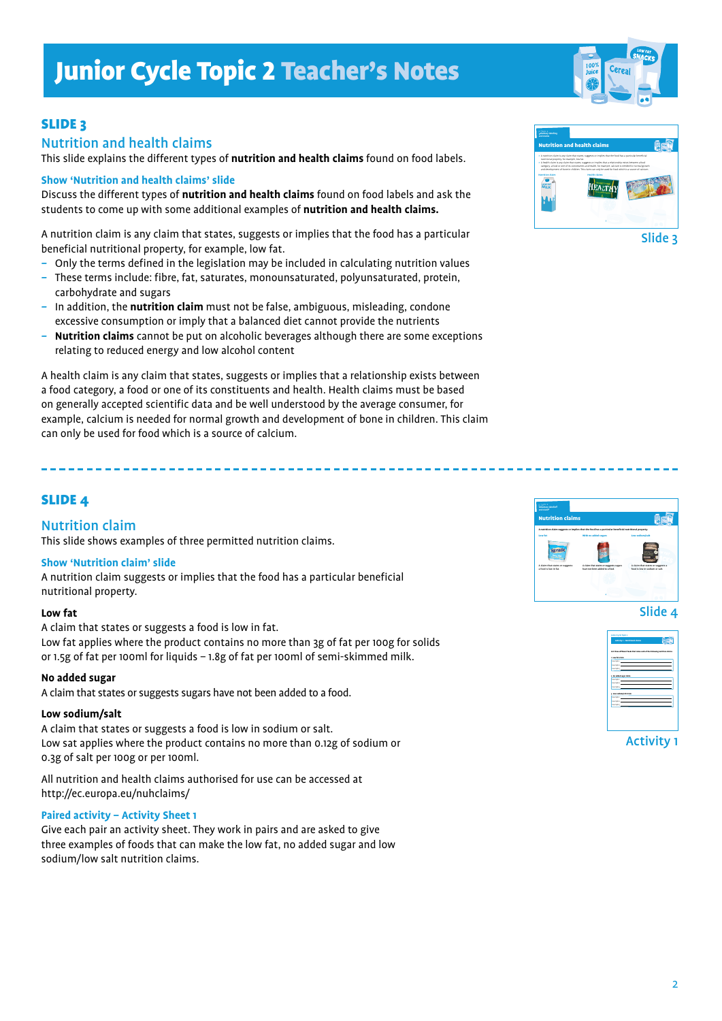## SLIDE 3

## Nutrition and health claims

This slide explains the different types of **nutrition and health claims** found on food labels.

#### **Show 'Nutrition and health claims' slide**

Discuss the different types of **nutrition and health claims** found on food labels and ask the students to come up with some additional examples of **nutrition and health claims.**

A nutrition claim is any claim that states, suggests or implies that the food has a particular beneficial nutritional property, for example, low fat.

- *–* Only the terms defined in the legislation may be included in calculating nutrition values
- *–* These terms include: fibre, fat, saturates, monounsaturated, polyunsaturated, protein, carbohydrate and sugars
- *–* In addition, the **nutrition claim** must not be false, ambiguous, misleading, condone excessive consumption or imply that a balanced diet cannot provide the nutrients
- *–* **Nutrition claims** cannot be put on alcoholic beverages although there are some exceptions relating to reduced energy and low alcohol content

A health claim is any claim that states, suggests or implies that a relationship exists between a food category, a food or one of its constituents and health. Health claims must be based on generally accepted scientific data and be well understood by the average consumer, for example, calcium is needed for normal growth and development of bone in children. This claim can only be used for food which is a source of calcium.

## SLIDE 4

## Nutrition claim

This slide shows examples of three permitted nutrition claims.

#### **Show 'Nutrition claim' slide**

A nutrition claim suggests or implies that the food has a particular beneficial nutritional property.

#### **Low fat**

A claim that states or suggests a food is low in fat. Low fat applies where the product contains no more than 3g of fat per 100g for solids or 1.5g of fat per 100ml for liquids – 1.8g of fat per 100ml of semi-skimmed milk.

#### **No added sugar**

A claim that states or suggests sugars have not been added to a food.

#### **Low sodium/salt**

A claim that states or suggests a food is low in sodium or salt. Low sat applies where the product contains no more than 0.12g of sodium or 0.3g of salt per 100g or per 100ml.

All nutrition and health claims authorised for use can be accessed at http://ec.europa.eu/nuhclaims/

#### **Paired activity – Activity Sheet 1**

Give each pair an activity sheet. They work in pairs and are asked to give three examples of foods that can make the low fat, no added sugar and low sodium/low salt nutrition claims.



Slide 3



## Slide 4



Activity 1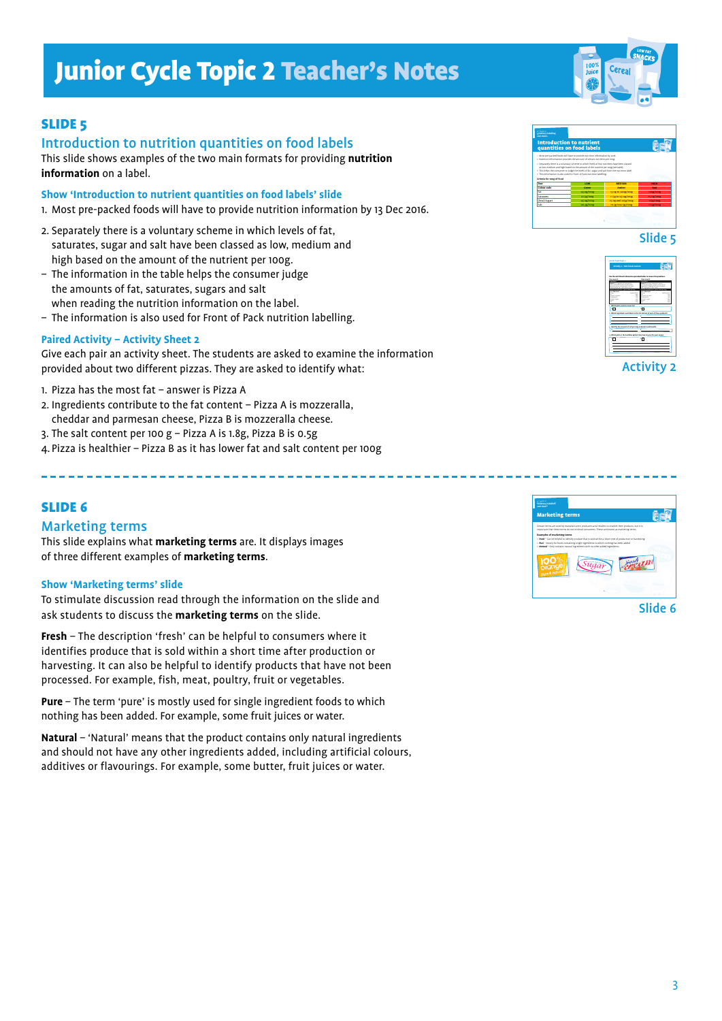

## **SLIDE 5**

## Introduction to nutrition quantities on food labels

This slide shows examples of the two main formats for providing **nutrition information** on a label.

**Show 'Introduction to nutrient quantities on food labels' slide**

- 1. Most pre-packed foods will have to provide nutrition information by 13 Dec 2016.
- 2. Separately there is a voluntary scheme in which levels of fat, saturates, sugar and salt have been classed as low, medium and high based on the amount of the nutrient per 100g.
- The information in the table helps the consumer judge the amounts of fat, saturates, sugars and salt
- when reading the nutrition information on the label. – The information is also used for Front of Pack nutrition labelling.

### **Paired Activity – Activity Sheet 2**

Give each pair an activity sheet. The students are asked to examine the information provided about two different pizzas. They are asked to identify what:

- 1. Pizza has the most fat answer is Pizza A
- 2. Ingredients contribute to the fat content Pizza A is mozzeralla, cheddar and parmesan cheese, Pizza B is mozzeralla cheese.
- 3. The salt content per 100 g Pizza A is 1.8g, Pizza B is 0.5g
- 4.Pizza is healthier Pizza B as it has lower fat and salt content per 100g

## SLIDE 6

## Marketing terms

This slide explains what **marketing terms** are. It displays images of three different examples of **marketing terms**.

#### **Show 'Marketing terms' slide**

To stimulate discussion read through the information on the slide and ask students to discuss the **marketing terms** on the slide.

**Fresh** – The description 'fresh' can be helpful to consumers where it identifies produce that is sold within a short time after production or harvesting. It can also be helpful to identify products that have not been processed. For example, fish, meat, poultry, fruit or vegetables.

**Pure** – The term 'pure' is mostly used for single ingredient foods to which nothing has been added. For example, some fruit juices or water.

**Natural** – 'Natural' means that the product contains only natural ingredients and should not have any other ingredients added, including artificial colours, additives or flavourings. For example, some butter, fruit juices or water.



Slide 6



Slide 5

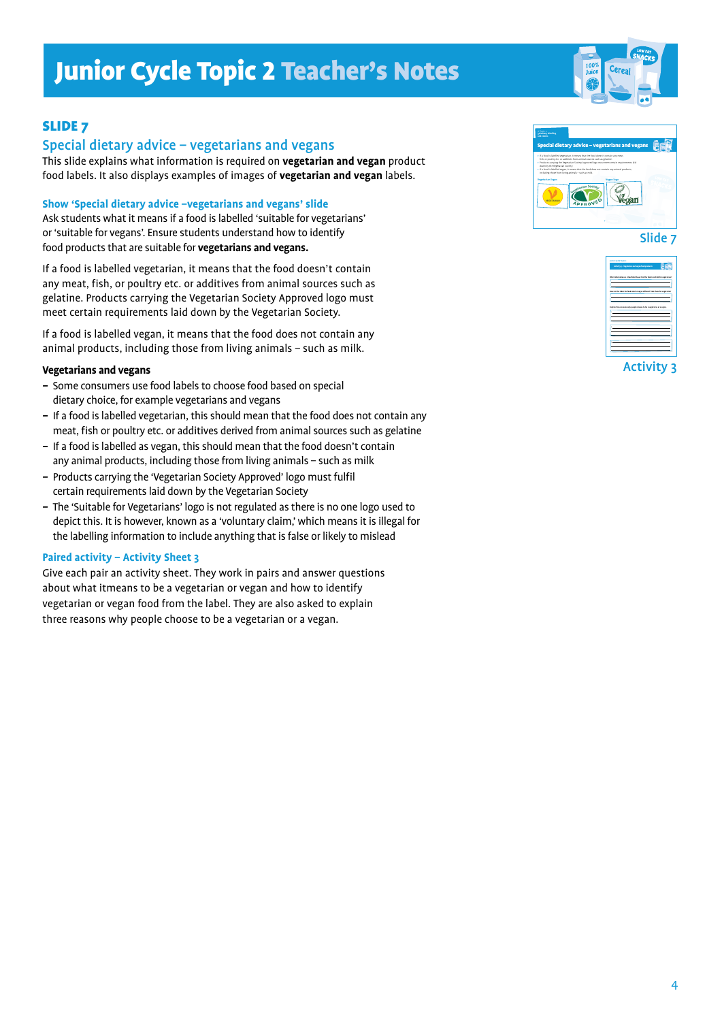

## SLIDE 7

## Special dietary advice – vegetarians and vegans

This slide explains what information is required on **vegetarian and vegan** product food labels. It also displays examples of images of **vegetarian and vegan** labels.

#### **Show 'Special dietary advice –vegetarians and vegans' slide**

Ask students what it means if a food is labelled 'suitable for vegetarians' or 'suitable for vegans'. Ensure students understand how to identify food products that are suitable for **vegetarians and vegans.**

If a food is labelled vegetarian, it means that the food doesn't contain any meat, fish, or poultry etc. or additives from animal sources such as gelatine. Products carrying the Vegetarian Society Approved logo must meet certain requirements laid down by the Vegetarian Society.

If a food is labelled vegan, it means that the food does not contain any animal products, including those from living animals – such as milk.

#### **Vegetarians and vegans**

- *–* Some consumers use food labels to choose food based on special dietary choice, for example vegetarians and vegans
- If a food is labelled vegetarian, this should mean that the food does not contain any meat, fish or poultry etc. or additives derived from animal sources such as gelatine
- *–* If a food is labelled as vegan, this should mean that the food doesn't contain any animal products, including those from living animals – such as milk
- *–* Products carrying the 'Vegetarian Society Approved' logo must fulfil certain requirements laid down by the Vegetarian Society
- *–* The 'Suitable for Vegetarians' logo is not regulated as there is no one logo used to depict this. It is however, known as a 'voluntary claim,' which means it is illegal for the labelling information to include anything that is false or likely to mislead

#### **Paired activity – Activity Sheet 3**

Give each pair an activity sheet. They work in pairs and answer questions about what itmeans to be a vegetarian or vegan and how to identify vegetarian or vegan food from the label. They are also asked to explain three reasons why people choose to be a vegetarian or a vegan.



Slide 7



Activity 3